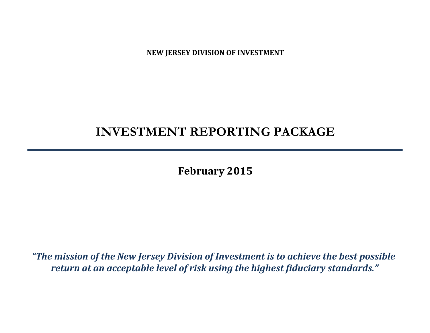**NEW JERSEY DIVISION OF INVESTMENT**

# **INVESTMENT REPORTING PACKAGE**

**February 2015**

*"The mission of the New Jersey Division of Investment is to achieve the best possible return at an acceptable level of risk using the highest fiduciary standards."*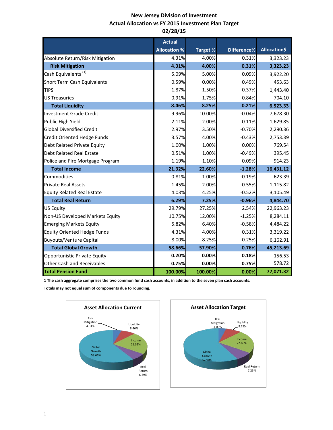# **New Jersey Division of Investment Actual Allocation vs FY 2015 Investment Plan Target 02/28/15**

|                                    | <b>Actual</b>       |          |             |              |
|------------------------------------|---------------------|----------|-------------|--------------|
|                                    | <b>Allocation %</b> | Target % | Difference% | Allocation\$ |
| Absolute Return/Risk Mitigation    | 4.31%               | 4.00%    | 0.31%       | 3,323.23     |
| <b>Risk Mitigation</b>             | 4.31%               | 4.00%    | 0.31%       | 3,323.23     |
| Cash Equivalents <sup>(1)</sup>    | 5.09%               | 5.00%    | 0.09%       | 3,922.20     |
| Short Term Cash Equivalents        | 0.59%               | 0.00%    | 0.49%       | 453.63       |
| <b>TIPS</b>                        | 1.87%               | 1.50%    | 0.37%       | 1,443.40     |
| <b>US Treasuries</b>               | 0.91%               | 1.75%    | $-0.84%$    | 704.10       |
| <b>Total Liquidity</b>             | 8.46%               | 8.25%    | 0.21%       | 6,523.33     |
| <b>Investment Grade Credit</b>     | 9.96%               | 10.00%   | $-0.04%$    | 7,678.30     |
| Public High Yield                  | 2.11%               | 2.00%    | 0.11%       | 1,629.85     |
| <b>Global Diversified Credit</b>   | 2.97%               | 3.50%    | $-0.70%$    | 2,290.36     |
| Credit Oriented Hedge Funds        | 3.57%               | 4.00%    | $-0.43%$    | 2,753.39     |
| Debt Related Private Equity        | 1.00%               | 1.00%    | 0.00%       | 769.54       |
| <b>Debt Related Real Estate</b>    | 0.51%               | 1.00%    | $-0.49%$    | 395.45       |
| Police and Fire Mortgage Program   | 1.19%               | 1.10%    | 0.09%       | 914.23       |
| <b>Total Income</b>                | 21.32%              | 22.60%   | $-1.28%$    | 16,431.12    |
| Commodities                        | 0.81%               | 1.00%    | $-0.19%$    | 623.39       |
| <b>Private Real Assets</b>         | 1.45%               | 2.00%    | $-0.55%$    | 1,115.82     |
| <b>Equity Related Real Estate</b>  | 4.03%               | 4.25%    | $-0.52%$    | 3,105.49     |
| <b>Total Real Return</b>           | 6.29%               | 7.25%    | $-0.96%$    | 4,844.70     |
| <b>US Equity</b>                   | 29.79%              | 27.25%   | 2.54%       | 22,963.23    |
| Non-US Developed Markets Equity    | 10.75%              | 12.00%   | $-1.25%$    | 8,284.11     |
| <b>Emerging Markets Equity</b>     | 5.82%               | 6.40%    | $-0.58%$    | 4,484.22     |
| <b>Equity Oriented Hedge Funds</b> | 4.31%               | 4.00%    | 0.31%       | 3,319.22     |
| <b>Buyouts/Venture Capital</b>     | 8.00%               | 8.25%    | $-0.25%$    | 6,162.91     |
| <b>Total Global Growth</b>         | 58.66%              | 57.90%   | 0.76%       | 45,213.69    |
| Opportunistic Private Equity       | 0.20%               | 0.00%    | 0.18%       | 156.53       |
| <b>Other Cash and Receivables</b>  | 0.75%               | 0.00%    | 0.75%       | 578.72       |
| <b>Total Pension Fund</b>          | 100.00%             | 100.00%  | 0.00%       | 77,071.32    |

**1 The cash aggregate comprises the two common fund cash accounts, in addition to the seven plan cash accounts.** 

**Totals may not equal sum of components due to rounding.**



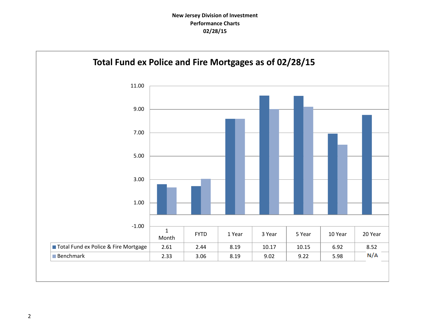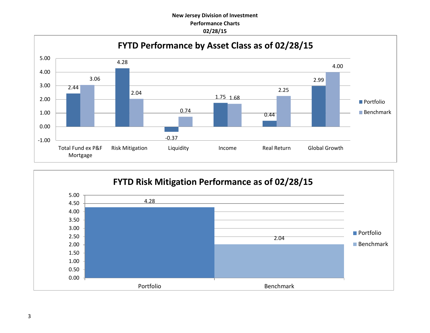# **New Jersey Division of Investment Performance Charts 02/28/15**



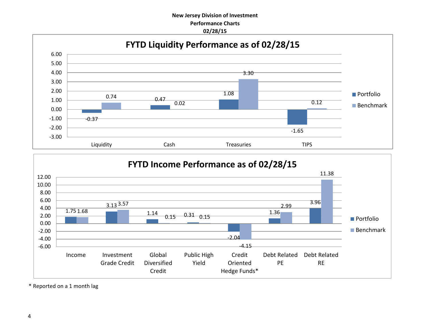## **New Jersey Division of Investment Performance Charts 02/28/15**





\* Reported on a 1 month lag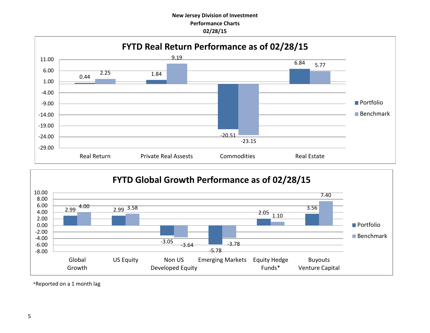## **New Jersey Division of Investment Performance Charts 02/28/15**





\*Reported on a 1 month lag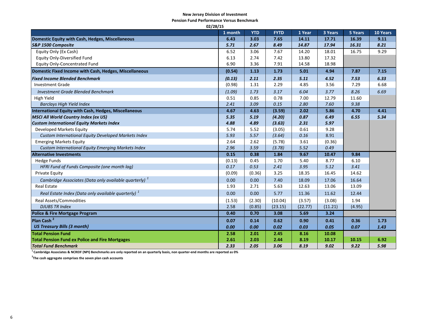#### **New Jersey Division of Investment**

**Pension Fund Performance Versus Benchmark**

| 02/28/15                                                          |         |            |             |         |         |                |          |  |
|-------------------------------------------------------------------|---------|------------|-------------|---------|---------|----------------|----------|--|
|                                                                   | 1 month | <b>YTD</b> | <b>FYTD</b> | 1 Year  | 3 Years | <b>5 Years</b> | 10 Years |  |
| Domestic Equity with Cash, Hedges, Miscellaneous                  | 6.43    | 3.03       | 7.65        | 14.11   | 17.71   | 16.39          | 9.11     |  |
| S&P 1500 Composite                                                | 5.71    | 2.67       | 8.49        | 14.87   | 17.94   | 16.31          | 8.21     |  |
| Equity Only (Ex Cash)                                             | 6.52    | 3.06       | 7.67        | 14.20   | 18.01   | 16.75          | 9.29     |  |
| <b>Equity Only-Diversified Fund</b>                               | 6.13    | 2.74       | 7.42        | 13.80   | 17.32   |                |          |  |
| <b>Equity Only-Concentrated Fund</b>                              | 6.90    | 3.36       | 7.91        | 14.58   | 18.98   |                |          |  |
| Domestic Fixed Income with Cash, Hedges, Miscellaneous            | (0.54)  | 1.13       | 1.73        | 5.01    | 4.94    | 7.87           | 7.15     |  |
| <b>Fixed Income Blended Benchmark</b>                             | (0.13)  | 2.11       | 2.35        | 5.11    | 4.52    | 7.53           | 6.33     |  |
| <b>Investment Grade</b>                                           | (0.98)  | 1.31       | 2.29        | 4.85    | 3.56    | 7.29           | 6.68     |  |
| <b>Investment Grade Blended Benchmark</b>                         | (1.09)  | 1.73       | 3.17        | 6.04    | 3.77    | 8.26           | 6.69     |  |
| High Yield                                                        | 0.51    | 0.85       | 0.78        | 7.00    | 12.79   | 11.60          |          |  |
| <b>Barclays High Yield Index</b>                                  | 2.41    | 3.09       | 0.15        | 2.80    | 7.60    | 9.38           |          |  |
| International Equity with Cash, Hedges, Miscellaneous             | 4.67    | 4.63       | (3.59)      | 2.02    | 5.86    | 4.70           | 4.41     |  |
| <b>MSCI All World Country Index (ex US)</b>                       | 5.35    | 5.19       | (4.20)      | 0.87    | 6.49    | 6.55           | 5.34     |  |
| <b>Custom International Equity Markets Index</b>                  | 4.88    | 4.89       | (3.63)      | 2.31    | 5.97    |                |          |  |
| Developed Markets Equity                                          | 5.74    | 5.52       | (3.05)      | 0.61    | 9.28    |                |          |  |
| Custom International Equity Developed Markets Index               | 5.93    | 5.57       | (3.64)      | 0.16    | 8.91    |                |          |  |
| <b>Emerging Markets Equity</b>                                    | 2.64    | 2.62       | (5.78)      | 3.61    | (0.36)  |                |          |  |
| <b>Custom International Equity Emerging Markets Index</b>         | 2.96    | 3.59       | (3.78)      | 5.52    | 0.49    |                |          |  |
| <b>Alternative Investments</b>                                    | 0.15    | 0.38       | 1.84        | 9.67    | 10.47   | 9.84           |          |  |
| <b>Hedge Funds</b>                                                | (0.13)  | 0.45       | 1.70        | 5.40    | 8.77    | 6.10           |          |  |
| HFRI Fund of Funds Composite (one month lag)                      | 0.17    | 0.53       | 2.41        | 3.95    | 5.12    | 3.41           |          |  |
| <b>Private Equity</b>                                             | (0.09)  | (0.36)     | 3.25        | 18.35   | 16.45   | 14.62          |          |  |
| Cambridge Associates (Data only available quarterly) <sup>1</sup> | 0.00    | 0.00       | 7.40        | 18.09   | 17.06   | 16.64          |          |  |
| <b>Real Estate</b>                                                | 1.93    | 2.71       | 5.63        | 12.63   | 13.06   | 13.09          |          |  |
| Real Estate Index (Data only available quarterly) <sup>1</sup>    | 0.00    | 0.00       | 5.77        | 11.36   | 11.62   | 12.44          |          |  |
| <b>Real Assets/Commodities</b>                                    | (1.53)  | (2.30)     | (10.04)     | (3.57)  | (3.08)  | 1.94           |          |  |
| <b>DJUBS TR Index</b>                                             | 2.58    | (0.85)     | (23.15)     | (22.77) | (11.21) | (4.95)         |          |  |
| <b>Police &amp; Fire Mortgage Program</b>                         | 0.40    | 0.70       | 3.08        | 5.69    | 3.24    |                |          |  |
| Plan Cash <sup>2</sup>                                            | 0.07    | 0.14       | 0.62        | 0.90    | 0.41    | 0.36           | 1.73     |  |
| <b>US Treasury Bills (3 month)</b>                                | 0.00    | 0.00       | 0.02        | 0.03    | 0.05    | 0.07           | 1.43     |  |
| <b>Total Pension Fund</b>                                         | 2.58    | 2.01       | 2.45        | 8.16    | 10.08   |                |          |  |
| <b>Total Pension Fund ex Police and Fire Mortgages</b>            | 2.61    | 2.03       | 2.44        | 8.19    | 10.17   | 10.15          | 6.92     |  |
| <b>Total Fund Benchmark</b>                                       | 2.33    | 2.05       | 3.06        | 8.19    | 9.02    | 9.22           | 5.98     |  |

**1 Cambridge Associates & NCREIF (NPI) Benchmarks are only reported on an quarterly basis, non quarter-end months are reported as 0%**

**2 The cash aggregate comprises the seven plan cash accounts**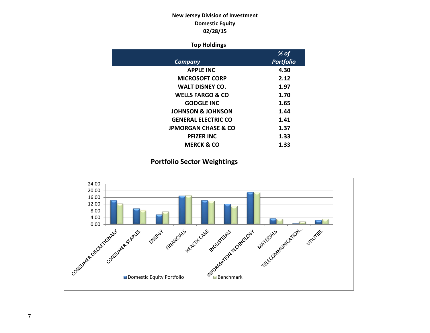# **New Jersey Division of Investment Domestic Equity 02/28/15**

#### **Top Holdings**

|                                | % of             |
|--------------------------------|------------------|
| Company                        | <b>Portfolio</b> |
| <b>APPLE INC</b>               | 4.30             |
| <b>MICROSOFT CORP</b>          | 2.12             |
| <b>WALT DISNEY CO.</b>         | 1.97             |
| <b>WELLS FARGO &amp; CO</b>    | 1.70             |
| <b>GOOGLE INC</b>              | 1.65             |
| <b>JOHNSON &amp; JOHNSON</b>   | 1.44             |
| <b>GENERAL ELECTRIC CO</b>     | 1.41             |
| <b>JPMORGAN CHASE &amp; CO</b> | 1.37             |
| <b>PFIZER INC</b>              | 1.33             |
| <b>MERCK &amp; CO</b>          | 1.33             |

# **Portfolio Sector Weightings**

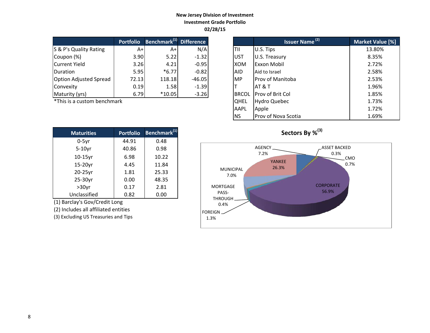### **New Jersey Division of Investment Investment Grade Portfolio 02/28/15**

|                               | <b>Portfolio</b> | Benchmark <sup>(1)</sup> Difference |          |              | <b>Issuer Name<sup>(2)</sup></b> | <b>Market Valu</b> |
|-------------------------------|------------------|-------------------------------------|----------|--------------|----------------------------------|--------------------|
| S & P's Quality Rating        | A+l              | A+                                  | N/A      | TII          | U.S. Tips                        | 13.80%             |
| Coupon (%)                    | 3.90             | 5.22                                | $-1.32$  | <b>UST</b>   | U.S. Treasury                    | 8.35%              |
| Current Yield                 | 3.26             | 4.21                                | $-0.95$  | <b>XOM</b>   | <b>Exxon Mobil</b>               | 2.72%              |
| <b>IDuration</b>              | 5.95             | $*6.77$                             | $-0.82$  | <b>AID</b>   | Aid to Israel                    | 2.58%              |
| <b>Option Adjusted Spread</b> | 72.13            | 118.18                              | $-46.05$ | <b>MP</b>    | <b>Prov of Manitoba</b>          | 2.53%              |
| Convexity                     | 0.19             | 1.58                                | $-1.39$  |              | AT & T                           | 1.96%              |
| Maturity (yrs)                | 6.79             | $*10.05$                            | $-3.26$  | <b>BRCOL</b> | <b>Prov of Brit Col</b>          | 1.85%              |

 $*$ This is a custom benchmark

| <b>Maturities</b> | <b>Portfolio</b> | Benchmark <sup>(1)</sup> |
|-------------------|------------------|--------------------------|
| $0-5$ yr          | 44.91            | 0.48                     |
| $5-10$ yr         | 40.86            | 0.98                     |
| 10-15yr           | 6.98             | 10.22                    |
| 15-20yr           | 4.45             | 11.84                    |
| 20-25yr           | 1.81             | 25.33                    |
| 25-30yr           | 0.00             | 48.35                    |
| $>30$ yr          | 0.17             | 2.81                     |
| Unclassified      | 0.82             | 0.00                     |

(1) Barclay's Gov/Credit Long

(2) Includes all affiliated entities

(3) Excluding US Treasuries and Tips

| <b>Portfolio</b> | Benchmark <sup>(1)</sup> Difference |          |              | <b>Issuer Name<sup>(2)</sup></b> | Market Value [%] |
|------------------|-------------------------------------|----------|--------------|----------------------------------|------------------|
| $A+$             | $A+$                                | N/A      | TII          | U.S. Tips                        | 13.80%           |
| 3.90             | 5.22                                | $-1.32$  | <b>UST</b>   | U.S. Treasury                    | 8.35%            |
| 3.26             | 4.21                                | $-0.95$  | <b>XOM</b>   | <b>Exxon Mobil</b>               | 2.72%            |
| 5.95             | $*6.77$                             | $-0.82$  | <b>AID</b>   | Aid to Israel                    | 2.58%            |
| 72.13            | 118.18                              | $-46.05$ | <b>MP</b>    | <b>IProv of Manitoba</b>         | 2.53%            |
| 0.19             | 1.58                                | $-1.39$  |              | <b>AT &amp; T</b>                | 1.96%            |
| 6.79             | $*10.05$                            | $-3.26$  | <b>BRCOL</b> | Prov of Brit Col                 | 1.85%            |
| ۰k               |                                     |          | <b>QHEL</b>  | <b>Hydro Quebec</b>              | 1.73%            |
|                  |                                     |          | AAPL         | Apple                            | 1.72%            |
|                  |                                     |          | <b>NS</b>    | <b>Prov of Nova Scotia</b>       | 1.69%            |



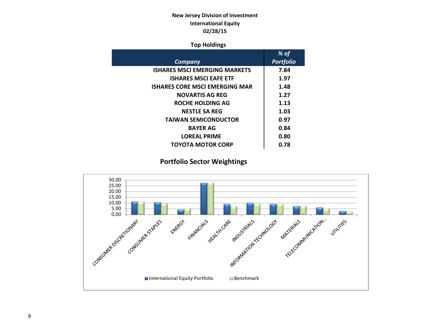# **New Jersey Division of Investment International Equity 02/28/15**

#### **Top Holdings**

|                                       | % of             |
|---------------------------------------|------------------|
| Company                               | <b>Portfolio</b> |
| <b>ISHARES MSCI EMERGING MARKETS</b>  | 7.84             |
| <b>ISHARES MSCI EAFE ETF</b>          | 1.97             |
| <b>ISHARES CORE MSCI EMERGING MAR</b> | 1.48             |
| <b>NOVARTIS AG REG</b>                | 1.27             |
| <b>ROCHE HOLDING AG</b>               | 1.13             |
| <b>NESTLE SA REG</b>                  | 1.03             |
| <b>TAIWAN SEMICONDUCTOR</b>           | 0.97             |
| <b>BAYER AG</b>                       | 0.84             |
| <b>LOREAL PRIME</b>                   | 0.80             |
| <b>TOYOTA MOTOR CORP</b>              | 0.78             |

# **Portfolio Sector Weightings**

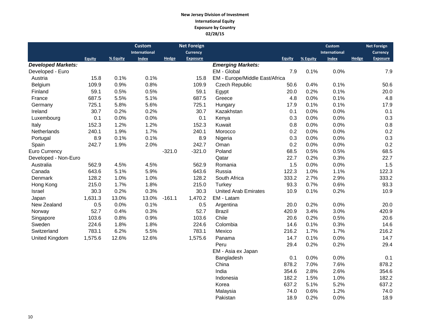#### **New Jersey Division of Investment International Equity Exposure by Country 02/28/15**

|                           |               |          | <b>Custom</b> |          | <b>Net Foreign</b> |                                |               |          | <b>Custom</b> |       | <b>Net Foreign</b> |
|---------------------------|---------------|----------|---------------|----------|--------------------|--------------------------------|---------------|----------|---------------|-------|--------------------|
|                           |               |          | International |          | Currency           |                                |               |          | International |       | <b>Currency</b>    |
|                           | <b>Equity</b> | % Equity | <b>Index</b>  | Hedge    | <b>Exposure</b>    |                                | <b>Equity</b> | % Equity | <b>Index</b>  | Hedge | <b>Exposure</b>    |
| <b>Developed Markets:</b> |               |          |               |          |                    | <b>Emerging Markets:</b>       |               |          |               |       |                    |
| Developed - Euro          |               |          |               |          |                    | EM - Global                    | 7.9           | 0.1%     | 0.0%          |       | 7.9                |
| Austria                   | 15.8          | 0.1%     | 0.1%          |          | 15.8               | EM - Europe/Middle East/Africa |               |          |               |       |                    |
| Belgium                   | 109.9         | 0.9%     | 0.8%          |          | 109.9              | Czech Republic                 | 50.6          | 0.4%     | 0.1%          |       | 50.6               |
| Finland                   | 59.1          | 0.5%     | 0.5%          |          | 59.1               | Egypt                          | 20.0          | 0.2%     | 0.1%          |       | 20.0               |
| France                    | 687.5         | 5.5%     | 5.1%          |          | 687.5              | Greece                         | 4.8           | 0.0%     | 0.1%          |       | 4.8                |
| Germany                   | 725.1         | 5.8%     | 5.6%          |          | 725.1              | Hungary                        | 17.9          | 0.1%     | 0.1%          |       | 17.9               |
| Ireland                   | 30.7          | 0.2%     | 0.2%          |          | 30.7               | Kazakhstan                     | 0.1           | 0.0%     | 0.0%          |       | 0.1                |
| Luxembourg                | 0.1           | 0.0%     | 0.0%          |          | 0.1                | Kenya                          | 0.3           | 0.0%     | 0.0%          |       | 0.3                |
| Italy                     | 152.3         | 1.2%     | 1.2%          |          | 152.3              | Kuwait                         | 0.8           | 0.0%     | 0.0%          |       | 0.8                |
| Netherlands               | 240.1         | 1.9%     | 1.7%          |          | 240.1              | Morocco                        | 0.2           | 0.0%     | 0.0%          |       | 0.2                |
| Portugal                  | 8.9           | 0.1%     | 0.1%          |          | 8.9                | Nigeria                        | 0.3           | 0.0%     | $0.0\%$       |       | 0.3                |
| Spain                     | 242.7         | 1.9%     | 2.0%          |          | 242.7              | Oman                           | 0.2           | 0.0%     | 0.0%          |       | 0.2                |
| Euro Currency             |               |          |               | $-321.0$ | $-321.0$           | Poland                         | 68.5          | 0.5%     | 0.5%          |       | 68.5               |
| Developed - Non-Euro      |               |          |               |          |                    | Qatar                          | 22.7          | 0.2%     | 0.3%          |       | 22.7               |
| Australia                 | 562.9         | 4.5%     | 4.5%          |          | 562.9              | Romania                        | 1.5           | 0.0%     | 0.0%          |       | 1.5                |
| Canada                    | 643.6         | 5.1%     | 5.9%          |          | 643.6              | Russia                         | 122.3         | 1.0%     | 1.1%          |       | 122.3              |
| Denmark                   | 128.2         | 1.0%     | 1.0%          |          | 128.2              | South Africa                   | 333.2         | 2.7%     | 2.9%          |       | 333.2              |
| Hong Kong                 | 215.0         | 1.7%     | 1.8%          |          | 215.0              | Turkey                         | 93.3          | 0.7%     | 0.6%          |       | 93.3               |
| Israel                    | 30.3          | 0.2%     | 0.3%          |          | 30.3               | <b>United Arab Emirates</b>    | 10.9          | 0.1%     | 0.2%          |       | 10.9               |
| Japan                     | 1,631.3       | 13.0%    | 13.0%         | $-161.1$ | 1,470.2            | EM - Latam                     |               |          |               |       |                    |
| New Zealand               | 0.5           | 0.0%     | 0.1%          |          | 0.5                | Argentina                      | 20.0          | 0.2%     | 0.0%          |       | 20.0               |
| Norway                    | 52.7          | 0.4%     | 0.3%          |          | 52.7               | <b>Brazil</b>                  | 420.9         | 3.4%     | 3.0%          |       | 420.9              |
| Singapore                 | 103.6         | 0.8%     | 0.9%          |          | 103.6              | Chile                          | 20.6          | 0.2%     | 0.5%          |       | 20.6               |
| Sweden                    | 224.6         | 1.8%     | 1.8%          |          | 224.6              | Colombia                       | 14.6          | 0.1%     | 0.3%          |       | 14.6               |
| Switzerland               | 783.1         | 6.2%     | 5.5%          |          | 783.1              | Mexico                         | 216.2         | 1.7%     | 1.7%          |       | 216.2              |
| United Kingdom            | 1,575.6       | 12.6%    | 12.6%         |          | 1,575.6            | Panama                         | 14.7          | 0.1%     | 0.0%          |       | 14.7               |
|                           |               |          |               |          |                    | Peru                           | 29.4          | 0.2%     | 0.2%          |       | 29.4               |
|                           |               |          |               |          |                    | EM - Asia ex Japan             |               |          |               |       |                    |
|                           |               |          |               |          |                    | Bangladesh                     | 0.1           | 0.0%     | 0.0%          |       | 0.1                |
|                           |               |          |               |          |                    | China                          | 878.2         | 7.0%     | 7.6%          |       | 878.2              |
|                           |               |          |               |          |                    | India                          | 354.6         | 2.8%     | 2.6%          |       | 354.6              |
|                           |               |          |               |          |                    | Indonesia                      | 182.2         | 1.5%     | 1.0%          |       | 182.2              |
|                           |               |          |               |          |                    | Korea                          | 637.2         | 5.1%     | 5.2%          |       | 637.2              |
|                           |               |          |               |          |                    | Malaysia                       | 74.0          | 0.6%     | 1.2%          |       | 74.0               |
|                           |               |          |               |          |                    | Pakistan                       | 18.9          | 0.2%     | 0.0%          |       | 18.9               |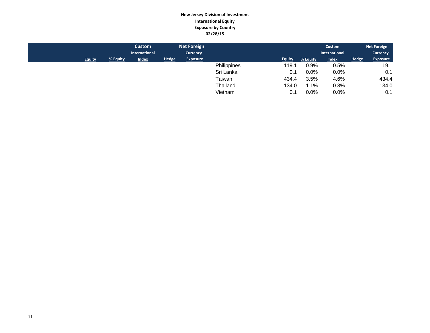#### **New Jersey Division of Investment International Equity Exposure by Country 02/28/15**

|               |          | Custom<br>International |              | <b>Net Foreign</b><br><b>Currency</b> |             |               |          | Custom<br>International |              | <b>Net Foreign</b><br><b>Currency</b> |
|---------------|----------|-------------------------|--------------|---------------------------------------|-------------|---------------|----------|-------------------------|--------------|---------------------------------------|
| <b>Equity</b> | % Equity | <b>Index</b>            | <b>Hedge</b> | <b>Exposure</b>                       |             | <b>Equity</b> | % Equity | <b>Index</b>            | <b>Hedge</b> | <b>Exposure</b>                       |
|               |          |                         |              |                                       | Philippines | 119.1         | 0.9%     | 0.5%                    |              | 119.1                                 |
|               |          |                         |              |                                       | Sri Lanka   | 0.1           | $0.0\%$  | $0.0\%$                 |              | 0.1                                   |
|               |          |                         |              |                                       | Taiwan      | 434.4         | 3.5%     | 4.6%                    |              | 434.4                                 |
|               |          |                         |              |                                       | Thailand    | 134.0         | 1.1%     | 0.8%                    |              | 134.0                                 |
|               |          |                         |              |                                       | Vietnam     | 0.1           | 0.0%     | 0.0%                    |              | 0.1                                   |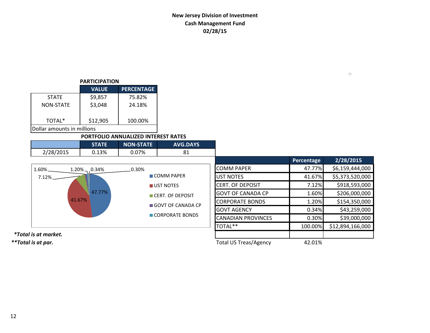# **New Jersey Division of Investment Cash Management Fund 02/28/15**

#### **PARTICIPATION**

|                            | <b>VALUE</b> | <b>PERCENTAGE</b> |  |  |  |  |  |
|----------------------------|--------------|-------------------|--|--|--|--|--|
| <b>STATE</b>               | \$9,857      | 75.82%            |  |  |  |  |  |
| <b>NON-STATE</b>           | \$3,048      | 24.18%            |  |  |  |  |  |
|                            |              |                   |  |  |  |  |  |
| TOTAL*                     | \$12,905     | 100.00%           |  |  |  |  |  |
| Dollar amounts in millions |              |                   |  |  |  |  |  |

#### **PORTFOLIO ANNUALIZED INTEREST RATES**

|           |     | <b>NON-STATE</b> | <b>AVG.DAYS</b> |
|-----------|-----|------------------|-----------------|
| 2/28/2015 | 13% | 7%               | O1              |

|                             | <b>STATE</b>     | <b>NON-STATE</b>              | <b>AVG.DAYS</b>   |                           |            |                  |
|-----------------------------|------------------|-------------------------------|-------------------|---------------------------|------------|------------------|
| 2/28/2015                   | 0.13%            | 0.07%                         | 81                |                           |            |                  |
|                             |                  |                               |                   |                           | Percentage | 2/28/2015        |
| $1.60\%$                    | $1.20\%$ , 0.34% | 0.30%                         |                   | <b>COMM PAPER</b>         | 47.77%     | \$6,159,444,000  |
| 7.12%                       |                  |                               | <b>COMM PAPER</b> | <b>UST NOTES</b>          | 41.67%     | \$5,373,520,000  |
|                             |                  | UST NOTES<br>CERT. OF DEPOSIT |                   | <b>CERT. OF DEPOSIT</b>   | 7.12%      | \$918,593,000    |
|                             | 47.77%           |                               |                   | <b>GOVT OF CANADA CP</b>  | 1.60%      | \$206,000,000    |
| 41.67%                      |                  |                               | GOVT OF CANADA CP | <b>CORPORATE BONDS</b>    | 1.20%      | \$154,350,000    |
|                             |                  |                               |                   | <b>GOVT AGENCY</b>        | 0.34%      | \$43,259,000     |
|                             |                  |                               | CORPORATE BONDS   | <b>CANADIAN PROVINCES</b> | 0.30%      | \$39,000,000     |
|                             |                  |                               |                   | TOTAL**                   | 100.00%    | \$12,894,166,000 |
| <i>*Total is at market.</i> |                  |                               |                   |                           |            |                  |

*\*\*Total is at par.* Total US Treas/Agency 42.01%

 $\Box$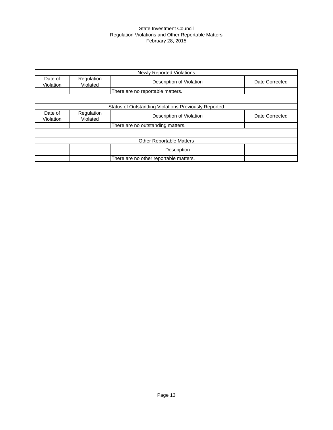#### State Investment Council Regulation Violations and Other Reportable Matters February 28, 2015

|                      |                        | <b>Newly Reported Violations</b>                            |                |
|----------------------|------------------------|-------------------------------------------------------------|----------------|
| Date of<br>Violation | Regulation<br>Violated | Description of Violation                                    | Date Corrected |
|                      |                        | There are no reportable matters.                            |                |
|                      |                        |                                                             |                |
|                      |                        | <b>Status of Outstanding Violations Previously Reported</b> |                |
| Date of<br>Violation | Regulation<br>Violated | Description of Violation                                    | Date Corrected |
|                      |                        | There are no outstanding matters.                           |                |
|                      |                        |                                                             |                |
|                      |                        | <b>Other Reportable Matters</b>                             |                |
|                      |                        | Description                                                 |                |
|                      |                        | There are no other reportable matters.                      |                |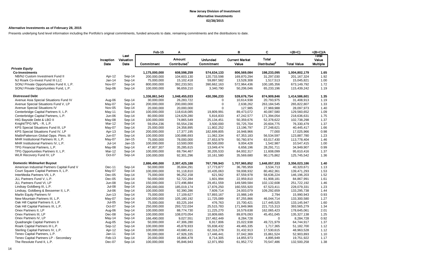#### **Alternative Investments as of February 28, 2015**

Presents underlying fund level information including the Portfolio's original commitments, funded amounts to date, remaining commitments and the distributions to date.

|                                             |                   |                           | Feb-15        | A                                         |                               | в                              | C                                 | $=(B+C)$           | $=(B+C)/A$                        |
|---------------------------------------------|-------------------|---------------------------|---------------|-------------------------------------------|-------------------------------|--------------------------------|-----------------------------------|--------------------|-----------------------------------|
|                                             | Inception<br>Date | Last<br>Valuation<br>Date | Commitment    | <b>Amount</b><br>Contributed <sup>1</sup> | <b>Unfunded</b><br>Commitment | <b>Current Market</b><br>Value | Total<br>Distributed <sup>2</sup> | <b>Total Value</b> | Total<br>Value<br><b>Multiple</b> |
| <b>Private Equity</b>                       |                   |                           |               |                                           |                               |                                |                                   |                    |                                   |
| <b>Co-Investments</b>                       |                   |                           | 1,175,000,000 | 608,598,259                               | 574,634,133                   | 806,569,084                    | 198,233,095                       | 1,004,802,179      | 1.65                              |
| NB/NJ Custom Investment Fund II             | Apr-12            | Sep-14                    | 200,000,000   | 104,603,130                               | 120,733,598                   | 169,870,294                    | 31,297,030                        | 201, 167, 324      | 1.92                              |
| NJ Roark Co-Invest Fund III LLC             | $Jan-14$          | Sep-14                    | 75,000,000    | 15,102,418                                | 59,897,582                    | 13,528,308                     | 1,517,513                         | 15,045,821         | 1.00                              |
| SONJ Private Opportunities Fund II, L.P.    | Nov-07            | Sep-14                    | 800,000,000   | 392,233,501                               | 390,662,163                   | 572,964,436                    | 100,185,356                       | 673,149,792        | 1.72                              |
| SONJ Private Opportunities Fund, L.P.       | Sep-06            | Sep-14                    | 100,000,000   | 96,659,210                                | 3,340,790                     | 50,206,046                     | 65,233,196                        | 115,439,242        | 1.19                              |
| <b>Distressed Debt</b>                      |                   |                           | 1,336,861,543 | 1,048,455,033                             | 430,396,233                   | 539,676,754                    | 874,909,846                       | 1,414,586,601      | 1.35                              |
| Avenue Asia Special Situations Fund IV      | Aug-06            | Sep-14                    | 30,000,000    | 26,283,722                                | $\Omega$                      | 10,614,938                     | 20,793,975                        | 31,408,913         | 1.19                              |
| Avenue Special Situations Fund V, LP        | May-07            | Sep-14                    | 200,000,000   | 200,000,000                               | $\mathbf 0$                   | 2,638,262                      | 263,184,545                       | 265,822,807        | 1.33                              |
| Avenue Special Situations IV                | Nov-05            | Sep-14                    | 20,000,000    | 20,000,000                                | $\Omega$                      | 127,985                        | 27,969,988                        | 28,097,973         | 1.40                              |
| Centerbridge Capital Partners II, L.P.      | May-11            | Sep-14                    | 100,000,000   | 118,618,085                               | 19,809,991                    | 89,473,072                     | 40,087,580                        | 129,560,652        | 1.09                              |
| Centerbridge Capital Partners, L.P.         | Jun-06            | Sep-14                    | 80,000,000    | 124,629,280                               | 5,816,833                     | 47,242,577                     | 171,394,054                       | 218,636,631        | 1.75                              |
| HIG Bayside Debt & LBO II                   | May-08            | Sep-14                    | 100,000,000   | 74,865,549                                | 25,134,451                    | 50,359,676                     | 52,378,622                        | 102,738,298        | 1.37                              |
| Knight/TPG NPL - R, L.P.                    | Mar-12            | Sep-14                    | 59,054,236    | 55,554,236                                | 3,500,000                     | 55,725,704                     | 20,604,775                        | 76,330,479         | 1.37                              |
| KPS Special Situations Fund III, LP         | May-07            | Sep-14                    | 25,000,000    | 24,358,895                                | 11,802,252                    | 13,196,797                     | 27,248,621                        | 40,445,417         | 1.66                              |
| KPS Special Situations Fund IV, LP          | Apr-13            | Sep-14                    | 200,000,000   | 17,377,195                                | 182,699,805                   | 16,948,966                     | 77,000                            | 17,025,966         | 0.98                              |
| MatlinPatterson Global Opps. Ptnrs. III     | Jun-07            | Sep-14                    | 100,000,000   | 100,886,693                               | 11,062,334                    | 67,353,183                     | 56,534,597                        | 123,887,780        | 1.23                              |
| MHR Institutional Partners III, L.P.        | May-07            | Jan-15                    | 75,000,000    | 78,000,000                                | 27,653,979                    | 50,760,974                     | 63,017,430                        | 113,778,404        | 1.46                              |
| MHR Institutional Partners IV, L.P.         | $Jul-14$          | Jan-15                    | 100,000,000   | 10,500,000                                | 89,500,000                    | 9,004,428                      | 1,542,987                         | 10,547,415         | 1.00                              |
| TPG Financial Partners, L.P.                | May-08            | Sep-14                    | 47,807,307    | 35,285,615                                | 13,049,474                    | 6,658,196                      | 28,291,711                        | 34,949,907         | 0.99                              |
| TPG Opportunities Partners II, L.P.         | Mar-12            | Sep-14                    | 100,000,000   | 69,794,467                                | 30,205,533                    | 84,002,317                     | 11,608,099                        | 95,610,416         | 1.37                              |
| WLR Recovery Fund IV, LP                    | Oct-07            | Sep-14                    | 100,000,000   | 92,301,296                                | 10,161,580                    | 35,569,680                     | 90,175,862                        | 125,745,542        | 1.36                              |
| <b>Domestic Midmarket Buyout</b>            |                   |                           | 2,886,490,000 | 2,397,425,188                             | 767,799,943                   | 1,707,965,852                  | 1,648,057,333                     | 3,356,023,186      | 1.40                              |
| American Industrial Partners Capital Fund V | Dec-11            | Sep-14                    | 50,000,000    | 35,604,291                                | 17,773,877                    | 36,785,959                     | 3,534,713                         | 40,320,671         | 1.13                              |
| Court Square Capital Partners II, L.P.      | May-07            | Sep-14                    | 100,000,000   | 91,118,810                                | 10,435,063                    | 59,008,932                     | 80,462,361                        | 139,471,293        | 1.53                              |
| InterMedia Partners VII, L.P.               | Dec-05            | Sep-14                    | 75,000,000    | 96,252,158                                | 621,562                       | 87,559,978                     | 58,636,224                        | 146,196,203        | 1.52                              |
| JLL Partners Fund V, L.P.                   | $Dec-05$          | Sep-14                    | 50,000,000    | 52,722,284                                | 1,601,994                     | 22,959,810                     | 61,908,181                        | 84,867,991         | 1.61                              |
| JLL Partners Fund VI, LP                    | <b>Jun-08</b>     | Sep-14                    | 150,000,000   | 172,496,884                               | 29,451,559                    | 149,589,584                    | 102,132,608                       | 251,722,192        | 1.46                              |
| Lindsay Goldberg III, L.P.                  | Jul-08            | Sep-14                    | 200,000,000   | 185,019,174                               | 17,876,250                    | 160,555,920                    | 67,523,411                        | 228,079,331        | 1.23                              |
| Lindsay, Goldberg & Bessemer II, L.P.       | Jul-06            | Sep-14                    | 100,000,000   | 92,390,286                                | 7,609,714                     | 24,003,079                     | 109,292,659                       | 133,295,738        | 1.44                              |
| Marlin Equity Partners IV                   | $Jun-13$          | Sep-14                    | 75,000,000    | 17,109,627                                | 57,893,167                    | 15,988,149                     | 2,794                             | 15,990,943         | 0.93                              |
| New Mountain Partners III, L.P.             | May-07            | Sep-14                    | 100,000,000   | 105,180,192                               | 11,725,089                    | 87,255,866                     | 46,044,714                        | 133,300,580        | 1.27                              |
| Oak Hill Capital Partners II, L.P.          | $Jul-05$          | Sep-14                    | 75,000,000    | 83,225,164                                | 476,763                       | 15,700,421                     | 117,445,525                       | 133,145,947        | 1.60                              |
| Oak Hill Capital Partners III, L.P.         | Oct-07            | Sep-14                    | 250,000,000   | 293,722,034                               | 25,515,783                    | 171,849,966                    | 221,715,313                       | 393,565,279        | 1.34                              |
| Onex Partners II, LP                        | Aug-06            | Sep-14                    | 100,000,000   | 88,774,730                                | 11,225,270                    | 16,579,638                     | 162,065,423                       | 178,645,061        | 2.01                              |
| Onex Partners III, LP                       | Dec-08            | Sep-14                    | 100,000,000   | 108,070,054                               | 10,809,665                    | 89,876,093                     | 45,451,045                        | 135,327,138        | 1.25                              |
| Onex Partners IV, LP                        | May-14            | Sep-14                    | 166,490,000   | 9,027,551                                 | 157,462,449                   | 8,284,728                      | $\Omega$                          | 8,284,728          | 0.92                              |
| Quadrangle Capital Partners II              | Aug-05            | Sep-14                    | 50,000,000    | 47,306,280                                | 6,917,806                     | 15,022,938                     | 49,721,979                        | 64,744,917         | 1.37                              |
| Roark Capital Partners III L.P.             | Sep-12            | Sep-14                    | 100,000,000   | 45,878,933                                | 55,838,432                    | 49,465,335                     | 1,717,365                         | 51,182,700         | 1.12                              |
| Sterling Capital Partners IV, L.P.          | Apr-12            | Sep-14                    | 100,000,000   | 43,680,411                                | 62,316,278                    | 31,432,913                     | 17,530,615                        | 48,963,528         | 1.12                              |
| Tenex Capital Partners, L.P.                | Jan-11            | Sep-14                    | 50,000,000    | 47,926,335                                | 17,446,441                    | 37,042,369                     | 15,861,524                        | 52,903,893         | 1.10                              |
| Tenex Capital Partners LP - Secondary       | Feb-13            | Sep-14                    | 20,000,000    | 16,866,478                                | 8,714,305                     | 14,855,973                     | 4,895,949                         | 19,751,922         | 1.17                              |
| The Resolute Fund II, L.P.                  | Dec-07            | Sep-14                    | 100,000,000   | 95,846,943                                | 12,971,950                    | 61,952,772                     | 70,547,486                        | 132,500,258        | 1.38                              |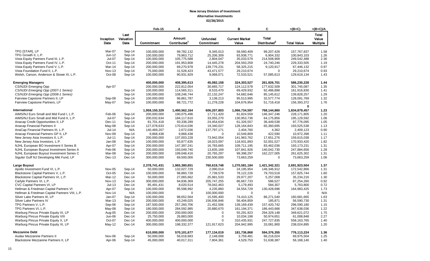|                                                |                    |           | Feb-15        | Α                        |                 | в                     | C                        | $=(B+C)$           | $=(B+C)/A$      |
|------------------------------------------------|--------------------|-----------|---------------|--------------------------|-----------------|-----------------------|--------------------------|--------------------|-----------------|
|                                                |                    | Last      |               |                          |                 |                       |                          |                    | <b>Total</b>    |
|                                                | Inception          | Valuation |               | Amount                   | <b>Unfunded</b> | <b>Current Market</b> | <b>Total</b>             |                    | Value           |
|                                                | Date               | Date      | Commitment    | Contributed <sup>1</sup> | Commitment      | Value                 | Distributed <sup>2</sup> | <b>Total Value</b> | <b>Multiple</b> |
|                                                |                    |           |               |                          |                 |                       |                          |                    |                 |
| TPG ISTARI. LP                                 | Mar-07             | Sep-14    | 100,000,000   | 99,782,132               | 8,345,013       | 58.560.409            | 99,207,428               | 157,767,837        | 1.58            |
| TPG Growth II, L.P.                            | Jun-12             | Sep-14    | 100,000,000   | 79,963,712               | 25,206,309      | 93,938,771            | 6,904,332                | 100,843,103        | 1.26            |
| Vista Equity Partners Fund III, L.P.           | Jul-07             | Sep-14    | 100,000,000   | 105,775,588              | 2,804,047       | 35,033,579            | 214,508,909              | 249,542,488        | 2.36            |
| Vista Equity Partners Fund IV, L.P.            | $Oct-11$           | Sep-14    | 200,000,000   | 191,953,808              | 14,445,278      | 204,593,259           | 24,740,246               | 229,333,505        | 1.19            |
| Vista Equity Partners Fund V, L.P.             | Mar-14             | Sep-14    | 200,000,000   | 69,270,978               | 139,776,231     | 58,325,215            | 9,120,917                | 67,446,132         | 0.97            |
| Vista Foundation Fund II, L.P.                 | <b>Nov-13</b>      | Sep-14    | 75,000,000    | 31,528,423               | 43,471,577      | 29,210,674            | $\mathbf 0$              | 29,210,674         | 0.93            |
| Welsh, Carson, Anderson & Stowe XI, L.P.       | Oct-08             | Sep-14    | 100,000,000   | 90,931,929               | 9,068,071       | 72,533,521            | 57,085,613               | 129,619,134        | 1.43            |
|                                                |                    |           |               |                          |                 |                       |                          |                    |                 |
| <b>Emerging Managers</b>                       |                    |           | 400,000,000   | 408,395,613              | 45,082,158      | 324,303,527           | 261,926,701              | 586,230,228        | 1.44            |
| <b>CS/NJDI Emerging Opp</b>                    | Apr-07             |           | 200,000,000   | 222,812,054              | 30,665,717      | 124,112,578           | 177,632,509              | 301,745,087        | 1.35            |
| CS/NJDI Emerging Opp (2007-1 Series)           |                    | Sep-14    | 100,000,000   | 114,565,311              | 8,533,470       | 69,429,932            | 92,486,898               | 161,916,830        | 1.41            |
| CS/NJDI Emerging Opp (2008-1 Series)           |                    | Sep-14    | 100,000,000   | 108,246,744              | 22,132,247      | 54,682,646            | 85,145,612               | 139,828,257        | 1.29            |
| Fairview Capstone Partners II, LP              | Sep-08             | Sep-14    | 100,000,000   | 96,861,787               | 3,138,213       | 95,513,995            | 32,577,774               | 128,091,769        | 1.32            |
| Fairview Capstone Partners, LP                 | May-07             | Sep-14    | 100,000,000   | 88,721,772               | 11,278,228      | 104,676,954           | 51,716,418               | 156,393,372        | 1.76            |
|                                                |                    |           |               |                          |                 |                       |                          | $\bf{0}$           |                 |
| International                                  |                    |           | 1,959,150,329 | 1,490,562,164            | 606,207,803     | 1,066,734,597         | 768,144,860              | 1,834,879,457      | 1.23            |
| AIMS/NJ Euro Small and Mid Fund I, L.P.        | Feb-06             | Sep-14    | 200,000,000   | 190,075,496              | 17,711,420      | 81,824,559            | 146,347,246              | 228,171,805        | 1.20            |
| AIMS/NJ Euro Small and Mid Fund II, L.P.       | Jul-07             | Sep-14    | 200,032,634   | 184,117,610              | 33,055,270      | 130,953,736           | 64,175,856               | 195,129,592        | 1.06            |
| Anacap Credit Opportunities II, LP             | Dec-11             | Sep-14    | 81,701,418    | 93,338,289               | 24,454,634      | 61,326,557            | 36,449,538               | 97,776,095         | 1.05            |
| Anacap Financial Partners II                   | May-08             | Sep-14    | 127,078,633   | 170,614,036              | 19,340,027      | 128,164,843           | 65,360,695               | 193,525,538        | 1.13            |
| AnaCap Financial Partners III, L.P.            | $Jul-14$           | N/A       | 140,469,207   | 2,672,036                | 137,797,171     | 2,404,760             | 4,362                    | 2,409,123          | 0.90            |
| Anacap Financial Partners GP II, LP            | Nov-09             | Sep-14    | 9,868,438     | 9,868,438                | $\Omega$        | 10,549,809            | 422,590                  | 10,972,398         | 1.11            |
| New Jersey Asia Investors II, L.P.             | $Jul-11$           | Sep-14    | 200,000,000   | 137,003,228              | 73,942,054      | 141,963,762           | 17,651,276               | 159,615,038        | 1.17            |
| New Jersey Asia Investors, L.P.                | Jan-08             | Sep-14    | 100,000,000   | 93,877,635               | 18,023,097      | 118,931,893           | 52,001,527               | 170,933,420        | 1.82            |
| NJHL European BO Investment II Series B        | Apr-07             | Sep-14    | 200,000,000   | 147,397,241              | 16,783,665      | 109,711,195           | 83,462,036               | 193,173,231        | 1.31            |
| NJHL European Buyout Investment Series A       | Feb-06             | Sep-14    | 200,000,000   | 193,049,740              | 13,835,169      | 107,841,926           | 140,042,730              | 247,884,656        | 1.28            |
| NJHL European Buyout Investment Series C       | Mar-08             | Sep-14    | 200.000.000   | 199,048,416              | 20,765,297      | 99,398,297            | 162,227,005              | 261,625,302        | 1.31            |
| Siguler Guff NJ Developing Mkt Fund, LP        | Dec-13             | Dec-14    | 300,000,000   | 69,500,000               | 230,500,000     | 73,663,259            | $\mathbf 0$              | 73,663,259         | 1.06            |
| <b>Large Buyout</b>                            |                    |           | 2,378,741,431 | 1,965,380,651            | 760,619,748     | 1,270,581,184         | 1,421,342,321            | 2,691,923,504      | 1.37            |
| Apollo Investment Fund VI, L.P.                | Nov-05             | Sep-14    | 50,000,000    | 132,027,729              | 2,090,014       | 24,195,954            | 148,346,912              | 172,542,866        | 1.31            |
| Blackstone Capital Partners V, L.P.            | Oct-05             | Dec-14    | 100,000,000   | 98,860,728               | 7,739,578       | 78,122,226            | 79,703,518               | 157,825,744        | 1.60            |
| Blackstone Capital Partners VI, L.P.           | Mar-12             | Dec-14    | 50,000,000    | 27,065,662               | 25,981,533      | 29,977,207            | 5,257,008                | 35,234,216         | 1.30            |
| Carlyle Partners VI, L.P.                      | <b>Nov-13</b>      | Sep-14    | 300,000,000   | 94,836,369               | 205,747,255     | 86,667,733            | 586,527                  | 87,254,260         | 0.92            |
| CVC Capital Partners VI, LP                    | $Jul-13$           | Dec-14    | 85,491,431    | 8,020,514                | 78,042,463      | 5,179,493             | 584,307                  | 5,763,800          | 0.72            |
| Hellman & Friedman Capital Partners VI         | Apr-07             | Sep-14    | 100,000,000   | 95,598,992               | 4,235,860       | 34,554,729            | 130,428,696              | 164,983,425        | 1.73            |
| Hellman & Friedman Capital Partners VIII, L.P. | Nov-14             | N/A       | 100,000,000   | $\Omega$                 | 100,000,000     | $\mathbf 0$           | $\mathbf 0$              | $\mathbf 0$        | N/A             |
| Silver Lake Partners III, LP                   |                    | Sep-14    |               |                          |                 |                       |                          |                    |                 |
| Silver Lake Partners IV                        | Jan-07<br>$Mar-13$ |           | 100,000,000   | 98,652,564               | 15,595,400      | 74,410,125            | 86,271,540<br>185,871    | 160,681,665        | 1.63<br>1.31    |
|                                                |                    | Sep-14    | 200,000,000   | 43,249,025               | 156,936,846     | 56,404,859            |                          | 56,590,730         |                 |
| TPG Partners V, L.P.                           | Sep-06             | Sep-14    | 187,500,000   | 257,260,706              | 21,452,506      | 139,169,439           | 157,420,742              | 296,590,180        | 1.15            |
| TPG Partners VI, L.P.                          | May-08             | Sep-14    | 180,000,000   | 284,592,985              | 20,880,670      | 161,194,371           | 186,443,666              | 347,638,036        | 1.22            |
| Warburg Pincus Private Equity IX, LP           | Aug-05             | Dec-14    | 200,000,000   | 200,000,000              | $\mathbf 0$     | 55,291,923            | 294,329,148              | 349,621,072        | 1.75            |
| Warburg Pincus Private Equity VIII             | Jun-06             | Dec-14    | 25,750,000    | 26,883,000               | $\pmb{0}$       | 10,034,198            | 50,974,651               | 61,008,848         | 2.27            |
| Warburg Pincus Private Equity X, LP            | Oct-07             | Dec-14    | 400,000,000   | 400,000,000              | $\mathbf 0$     | 310,435,931           | 247,727,835              | 558,163,765        | 1.40            |
| Warburg Pincus Private Equity XI, LP           | May-12             | Dec-14    | 300,000,000   | 198,332,377              | 121,917,623     | 204,942,995           | 33,081,900               | 238,024,895        | 1.20            |
| <b>Mezzanine Debt</b>                          |                    |           | 610,000,000   | 570,101,677              | 177,134,019     | 181,736,868           | 594,376,355              | 776,113,224        | 1.36            |
| Audax Mezzanine Partners II                    | Nov-06             | Sep-14    | 50,000,000    | 56,018,683               | 2,148,008       | 3,759,481             | 66,216,024               | 69,975,504         | 1.25            |
| Blackstone Mezzanine Partners II, LP           | Apr-06             | Sep-14    | 45,000,000    | 40,017,311               | 7,804,361       | 4,529,753             | 51,638,387               | 56,168,140         | 1.40            |
|                                                |                    |           |               |                          |                 |                       |                          |                    |                 |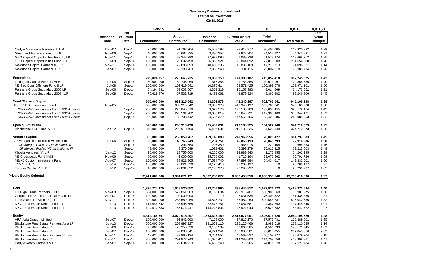|                                         |               |                   | Feb-15         | Α                        |                 | в                     | C                        | $=(B+C)$           | $=(B+C)/A$      |
|-----------------------------------------|---------------|-------------------|----------------|--------------------------|-----------------|-----------------------|--------------------------|--------------------|-----------------|
|                                         | Inception     | Last<br>Valuation |                | Amount                   | <b>Unfunded</b> | <b>Current Market</b> | <b>Total</b>             |                    | Total<br>Value  |
|                                         | Date          | Date              | Commitment     | Contributed <sup>1</sup> | Commitment      | Value                 | Distributed <sup>2</sup> | <b>Total Value</b> | <b>Multiple</b> |
| Carlyle Mezzanine Partners II, L.P.     | Dec-07        | Dec-14            | 75,000,000     | 91,767,704               | 15,568,198      | 28,418,377            | 90,402,005               | 118,820,382        | 1.29            |
| Gleacher Mezzanine Fund II, LP          | Nov-06        | Sep-14            | 40,000,000     | 36,684,835               | 3,390,252       | 9,828,204             | 34,517,627               | 44,345,831         | 1.21            |
| GSO Capital Opportunities Fund II, LP   | <b>Nov-11</b> | Sep-14            | 150,000,000    | 83,248,790               | 97,977,096      | 61,089,738            | 51,578,974               | 112,668,712        | 1.35            |
| GSO Capital Opportunities Fund, L.P.    | <b>Jul-08</b> | Sep-14            | 100,000,000    | 120,092,498              | 6,850,921       | 26,844,092            | 177,810,508              | 204,654,600        | 1.70            |
| Newstone Capital Partners II, L.P.      | May-11        | Sep-14            | 100,000,000    | 79,883,093               | 40,408,235      | 43,886,108            | 47,210,213               | 91,096,321         | 1.14            |
| Newstone Capital Partners, L.P.         | Feb-07        | Sep-14            | 50,000,000     | 62,388,763               | 2,986,948       | 3,381,116             | 75,002,618               | 78,383,734         | 1.26            |
| <b>Secondaries</b>                      |               |                   | 279,824,757    | 273,666,735              | 23,052,150      | 141,393,107           | 245,852,418              | 387,245,525        | 1.42            |
| Lexington Capital Partners VI-B         | Jun-06        | Sep-14            | 50,000,000     | 50,705,969               | 817,356         | 21,783,365            | 49,071,191               | 70,854,556         | 1.40            |
| NB Sec Opps Offshore Fund II LP         | <b>Jul-08</b> | Sep-14            | 100,000,000    | 102,419,541              | 10,376,414      | 53,571,425            | 100,399,676              | 153,971,101        | 1.50            |
| Partners Group Secondary 2006 LP        | Sep-06        | Dec-14            | 54,194,881     | 53,008,507               | 3,359,319       | 16,158,393            | 48,014,669               | 64,173,062         | 1.21            |
| Partners Group Secondary 2008, L.P.     | Sep-08        | $Dec-14$          | 75,629,876     | 67,532,719               | 8,499,061       | 49,879,924            | 48,366,882               | 98,246,806         | 1.45            |
| <b>Small/Midsize Buyout</b>             |               |                   | 650,000,000    | 683,315,542              | 83,302,973      | 442,340,197           | 502,765,041              | 945,105,238        | 1.38            |
| <b>CSFB/NJDI Investment Fund</b>        | <b>Nov-05</b> |                   | 650,000,000    | 683,315,542              | 83,302,973      | 442,340,197           | 502,765,041              | 945,105,238        | 1.38            |
| CSFB/NJDI Investment Fund 2005-1 Series |               | Sep-14            | 200,000,000    | 225,045,318              | 9,679,576       | 128,138,700           | 192,033,455              | 320, 172, 154      | 1.42            |
| CSFB/NJDI Investment Fund 2006-1 Series |               | Sep-14            | 250,000,000    | 275,561,782              | 19,036,019      | 166,640,731           | 217,303,400              | 383,944,131        | 1.39            |
| CSFB/NJDI Investment Fund 2008-1 Series |               | Sep-14            | 200,000,000    | 182,708,442              | 54,587,379      | 147,560,766           | 93,428,186               | 240,988,953        | 1.32            |
| <b>Special Situations</b>               |               |                   | 370,000,000    | 298,910,490              | 235,407,631     | 210,188,225           | 164,522,148              | 374,710,373        | 1.25            |
| Blackstone TOP Fund-A, L.P.             | Jan-12        | Sep-14            | 370,000,000    | 298,910,490              | 235,407,631     | 210,188,225           | 164,522,148              | 374,710,373        | 1.25            |
| <b>Venture Capital</b>                  |               |                   | 365,000,000    | 250,059,767              | 159,146,880     | 240,968,956           | 120,828,427              | 361,797,383        | 1.45            |
| JP Morgan Direct/Pooled VC Instit III   | Jun-06        | Sep-14            | 50,000,000     | 48,765,249               | 1,234,751       | 46,865,193            | 26,045,793               | 72,910,986         | 1.50            |
| JP Morgan Direct VC Institutional III   |               | Sep-14            | 600,000        | 394,650                  | 205,350         | 465,915               | 229,468                  | 695,383            | 1.76            |
| JP Morgan Pooled VC Institutional III   |               | Sep-14            | 49,400,000     | 48,370,599               | 1,029,401       | 46,399,279            | 25,816,325               | 72,215,603         | 1.49            |
| Khosla Venutres IV, L.P.                | Jan-12        | Sep-14            | 25,000,000     | 18,750,000               | 6,250,000       | 22,989,840            | 1,272,455                | 24,262,295         | 1.29            |
| NB Crossroads Fund XVIII                | Nov-06        | Sep-14            | 50,000,000     | 42,000,000               | 25,750,002      | 41,716,164            | 29,075,562               | 70,791,726         | 1.69            |
| NB/NJ Custom Investment Fund            | Aug-07        | Sep-14            | 100,000,000    | 88,921,905               | 37,534,740      | 77,897,884            | 64,434,617               | 142,332,501        | 1.60            |
| TCV VIII, L.P.                          | Jan-14        | $Dec-14$          | 100,000,000    | 23,821,590               | 76,178,410      | 23,209,137            | $\mathbf 0$              | 23,209,137         | 0.97            |
| Tenaya Capital VI, L.P.                 | $Jul-12$      | Sep-14            | 40,000,000     | 27,801,022               | 12,198,978      | 28,290,737            | 0                        | 28,290,737         | 1.02            |
| <b>Private Equity Subtotal</b>          |               |                   | 12,411,068,060 | 9,994,871,121            | 3,862,783,672   | 6,932,458,350         | 6,800,958,546            | 13,733,416,896     | 1.37            |
|                                         |               |                   |                |                          |                 |                       |                          |                    |                 |
| <b>Debt</b>                             |               |                   | 1,376,224,175  | 1,048,520,652            | 333,706,890     | 395,445,812           | 1,072,926,722            | 1,468,372,534      | 1.40            |
| CT High Grade Partners II, LLC          | May-08        | Sep-14            | 664,000,000    | 572,861,303              | 88,133,604      | 223,918,407           | 556,983,568              | 780,901,975        | 1.36            |
| Guggenheim Structured Real Estate III   | Sep-07        | Dec-14            | 100,000,000    | 100,000,000              | 0               | 5,031,534             | 76,403,322               | 81,434,856         | 0.81            |
| Lone Star Fund VII (U.S.) LP            | May-11        | $Dec-14$          | 300,000,000    | 283,589,254              | 18,845,732      | 85,484,250            | 429,558,387              | 515,042,636        | 1.82            |
| M&G Real Estate Debt Fund II, LP        | $Jul-13$      | Dec-14            | 117,646,642    | 36,995,655               | 82,478,751      | 33,087,581            | 4,357,763                | 37,445,345         | 1.01            |
| M&G Real Estate Debt Fund III, LP       | $Jul-13$      | Dec-14            | 194,577,533    | 55,074,441               | 144,248,804     | 47,924,040            | 5,623,682                | 53,547,722         | 0.97            |
| <b>Equity</b>                           |               |                   | 4,312,155,507  | 3,070,918,297            | 1,563,626,159   | 2,515,577,901         | 1,426,616,620            | 3,942,194,520      | 1.28            |
| ARA Asia Dragon Limited                 | Sep-07        | Dec-14            | 100,000,000    | 92,842,000               | 7,158,000       | 27,816,270            | 97,572,731               | 125,389,001        | 1.35            |
| Blackstone Real Estate Partners Asia LP | $Jun-13$      | $Dec-14$          | 500,000,000    | 208,997,227              | 291,669,110     | 235,120,466           | 2,989,619                | 238,110,085        | 1.14            |
| Blackstone Real Estate V                | Feb-06        | $Dec-14$          | 75,000,000     | 78,353,336               | 3,130,539       | 63,665,305            | 84,506,639               | 148,171,945        | 1.89            |
| <b>Blackstone Real Estate VI</b>        | Feb-07        | Dec-14            | 100,000,000    | 99,080,641               | 4,774,241       | 108,038,301           | 99,010,055               | 207,048,356        | 2.09            |
| Blackstone Real Estate Partners VI, Sec | <b>Nov-11</b> | $Dec-14$          | 43,624,688     | 39,860,134               | 3,764,554       | 45,569,827            | 40,109,877               | 85,679,704         | 2.15            |
| <b>Blackstone Real Estate VII</b>       | Dec-11        | Dec-14            | 300,000,000    | 291,877,743              | 71,620,414      | 314,289,803           | 114,709,058              | 428,998,861        | 1.47            |
| Carlyle Realty Partners V LP            | Feb-07        | Sep-14            | 100,000,000    | 122,634,933              | 36,438,240      | 32,716,206            | 124,811,578              | 157,527,784        | 1.28            |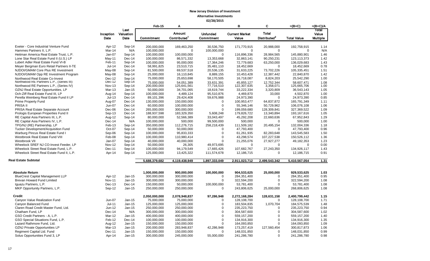|                                                             |                  |                    | Feb-15                     | Α                          |                                      | в                          | C                          | $=(B+C)$                   | =(B+C)/A        |
|-------------------------------------------------------------|------------------|--------------------|----------------------------|----------------------------|--------------------------------------|----------------------------|----------------------------|----------------------------|-----------------|
|                                                             | Inception        | Last<br>Valuation  |                            | <b>Amount</b>              | <b>Unfunded</b>                      | <b>Current Market</b>      | <b>Total</b>               |                            | Total<br>Value  |
|                                                             | Date             | Date               | <b>Commitment</b>          | Contributed <sup>1</sup>   | Commitment                           | Value                      | Distributed <sup>2</sup>   | <b>Total Value</b>         | <b>Multiple</b> |
| Exeter - Core Industrial Venture Fund                       | Apr-12           | Sep-14             | 200,000,000                | 169,463,250                | 30,536,750                           | 171,770,915                | 20,988,000                 | 192,758,915                | 1.14            |
| Hammes Partners II. L.P.                                    | Mar-14           | N/A                | 100,000,000                | $\Omega$                   | 100,000,000                          | $\Omega$                   | $\mathbf 0$                | $\Omega$                   | N/A             |
| Heitman America Real Estate Trust, L.P.                     | Jan-07           | Sep-14             | 100,000,000                | 100,000,000                | $\mathbf 0$                          | 116,896,336                | 28,984,565                 | 145,880,901                | 1.46            |
| Lone Star Real Estate Fund II (U.S.) LP                     | $May-11$         | Dec-14             | 100,000,000                | 86,571,332                 | 13,353,668                           | 32,863,141                 | 90,250,231                 | 123,113,373                | 1.42            |
| Lubert Adler Real Estate Fund VI-B                          | Feb-11           | Sep-14             | 100,000,000                | 95,000,000                 | 17,364,246                           | 72,779,683                 | 63,250,000                 | 136,029,683                | 1.43            |
| Meyer Bergman Euro Retail Partners II-TE                    | $Jul-14$         | $Dec-14$           | 58,991,825                 | 23,510,715                 | 35,481,110                           | 18,452,669                 | $\mathbf 0$                | 18,452,669                 | 0.78            |
| NJDOI/GMAM Core Plus RE Investment                          | May-08           | Sep-14             | 81,500,000                 | 69,537,518                 | 20,536,135                           | 31,633,225                 | 73,702,226                 | 105,335,451                | 1.51            |
| NJDOI/GMAM Opp RE Investment Program                        | May-08           | Sep-14             | 25,000,000                 | 16,110,845                 | 8,889,155                            | 10,453,428                 | 12,387,442                 | 22,840,870                 | 1.42            |
| Northwood Real Estate Co-Invest                             | $Dec-12$         | Sep-14             | 75,000,000                 | 25,653,698                 | 58,170,505                           | 16,718,087                 | 8,824,203                  | 25,542,290                 | 1.00            |
| Northwood RE Partners L.P., (Series III)                    | Dec-12           | Sep-14             | 75.000.000                 | 54.051.389                 | 33.631.391                           | 45.855.127                 | 12.752.344                 | 58.607.471                 | 1.08            |
| Northwood RE Partners L.P., (Series IV)                     | Nov-13           | Sep-14             | 200,000,000                | 125,641,561                | 77,716,510                           | 122,307,635                | 3,358,071                  | 125,665,706                | 1.00            |
| OZNJ Real Estate Opportunities, LP                          | <b>Mar-13</b>    | $Jan-15$           | 50,000,000                 | 34,701,065                 | 18,619,744                           | 33,222,334                 | 3,320,809                  | 36,543,143                 | 1.05            |
| Och-Ziff Real Estate Fund III, LP                           | Aug-14           | Sep-14             | 100,000,000                | 4,489,124                  | 95,510,876                           | 4,469,870                  | 33,000                     | 4,502,870                  | 1.00            |
| Perella Weinberg Real Estate Fund II LP                     | $Jul-13$         | $Dec-14$           | 89,101,396                 | 29,424,408                 | 59,676,988                           | 24,973,390                 | $\mathbf 0$                | 24,973,390                 | 0.85            |
| <b>Prime Property Fund</b>                                  | Aug-07           | Dec-14             | 130,000,000                | 150,000,000                | $\mathbf 0$                          | 100,953,477                | 64,837,872                 | 165,791,349                | 1.11            |
| PRISA II                                                    | Jun-07           | Dec-14             | 60,000,000                 | 100,000,000                | $\mathbf 0$                          | 55,346,146                 | 50,729,962                 | 106,076,108                | 1.06            |
| PRISA Real Estate Separate Account                          | Dec-06           | Dec-14             | 265,000,000                | 300,000,000                | $\mathbf 0$                          | 199,059,680                | 128,309,841                | 327,369,522                | 1.09            |
| Prologis European Properties Fund II                        | Sep-13           | Dec-14             | 188,937,598                | 183,329,350                | 5,608,248                            | 179.826.722                | 13,340,894                 | 193, 167, 616              | 1.05            |
| RE Capital Asia Partners III, L.P.                          | Aug-12           | Sep-14             | 80,000,000                 | 52,566,389                 | 33,043,497                           | 45,292,208                 | 22,660,636                 | 67,952,843                 | 1.29            |
| RE Capital Asia Partners IV, L.P.                           | Dec-14           | N/A                | 100,000,000                | 500,000                    | 99,500,000                           | 500,000                    | $\mathbf 0$                | 500,000                    | 1.00            |
| TPG/NJ (RE) Partnership, LP                                 | Feb-13           | Sep-14             | 350,000,000                | 112,276,715                | 258,218,439                          | 111,509,182                | 20,495,154                 | 132,004,336                | 1.18            |
| Tucker Development/Acquisition Fund                         | Oct-07           | Sep-14             | 50,000,000                 | 50,000,000                 | $\mathbf 0$                          | 47,793,400                 | $\Omega$                   | 47,793,400                 | 0.96            |
| Warburg Pincus Real Estate Fund I                           | Sep-06           | Sep-14             | 100,000,000                | 95,833,333                 | $\mathbf 0$                          | 61,261,935                 | 82,283,648                 | 143,545,583                | 1.50            |
| Westbrook Real Estate Fund VIII                             | Feb-08           | Sep-14             | 100,000,000                | 110,980,414                | $\Omega$                             | 43,298,574                 | 107,227,538                | 150,526,112                | 1.36            |
| Westbrook VII                                               | Jan-07           | Sep-14             | 40,000,000                 | 40,000,000                 | $\mathbf 0$                          | 21,255,076                 | 27,927,277                 | 49,182,353                 | 1.23            |
| Wheelock SREF NJ CO-Invest Feeder, LP                       | <b>Nov-12</b>    | Sep-14             | 50,000,000                 | 26,305                     | 49,973,695                           | $\Omega$                   | $\Omega$                   | $\Omega$                   | 0.00            |
| Wheelock Street Real Estate Fund, L.P.                      | Dec-11           | Sep-14             | 100,000,000                | 94,179,549                 | 17,665,426                           | 107,682,767                | 27,243,350                 | 134,926,117                | 1.43            |
| Wheelock Street Real Estate Fund II, L.P.                   | Apr-14           | Sep-14             | 125,000,000                | 13,425,322                 | 111,574,678                          | 12,186,715                 | $\Omega$                   | 12,186,715                 | 0.91            |
| <b>Real Estate Subtotal</b>                                 |                  |                    | 5,688,379,682              | 4,119,438,949              | 1,897,333,049                        | 2,911,023,712              | 2,499,543,342              | 5,410,567,054              | 1.31            |
| <b>Absolute Return</b>                                      |                  |                    | 1,000,000,000              | 900,000,000                | 100,000,000                          | 904,533,625                | 25,000,000                 | 929,533,625                | 1.03            |
| <b>BlueCrest Capital Management LLP</b>                     | Apr-12           | Jan-15             | 300,000,000                | 300,000,000                | 0                                    | 284,351,400                | $\mathbf 0$                | 284,351,400                | 0.95            |
| Brevan Howard Fund Limited                                  | <b>Nov-11</b>    | $Jan-15$           | 300,000,000                | 300.000.000                | $\mathbf 0$                          | 322,594,200                | $\mathbf 0$                | 322,594,200                | 1.08            |
| Iguazu Partners, L.P.                                       | Dec-13           | Dec-14             | 150,000,000                | 50,000,000                 | 100,000,000                          | 53,781,400                 | 0                          | 53,781,400                 | 1.08            |
| MKP Opportunity Partners, L.P.                              | Sep-12           | $Jan-15$           | 250,000,000                | 250,000,000                | $\Omega$                             | 243,806,625                | 25,000,000                 | 268,806,625                | 1.08            |
|                                                             |                  |                    |                            |                            |                                      |                            |                            |                            |                 |
| <b>Credit</b>                                               |                  |                    | 2,050,000,000              | 2,078,948,837              | 97,286,948                           | 2,272,168,284              | 128,631,158                | 2,400,799,442              | 1.15            |
| Canyon Value Realization Fund                               | Jun-07           | Jan-15<br>$Jan-15$ | 75,000,000                 | 75,000,000                 | $\mathbf 0$<br>$\mathbf 0$           | 128,108,700                | $\mathbf 0$                | 128,108,700                | 1.71            |
| Canyon Balanced Fund                                        | Jul-11           |                    | 125,000,000                | 125,000,000                |                                      | 183,504,835                | 1,070,704                  | 184,575,539                | 1.48            |
| Claren Road Credit Master Fund, Ltd.                        | Jun-12           | Jan-15<br>N/A      | 250,000,000                | 250,000,000                | $\boldsymbol{0}$<br>$\boldsymbol{0}$ | 235,223,750                | $\Omega$<br>$\Omega$       | 235,223,750                | 0.94            |
| Chatham Fund, LP                                            | Dec-14           |                    | 300,000,000                | 300,000,000                |                                      | 304,587,600                |                            | 304,587,600                | 1.02            |
| GSO Credit Partners - A, L.P.                               | Mar-12           | Jan-15             | 400,000,000                | 400,000,000                | $\mathbf 0$<br>$\Omega$              | 559,157,200                | 0<br>$\Omega$              | 559,157,200                | 1.40            |
| GSO Special Situations Fund, L.P.                           | Feb-12           | Dec-14<br>$Jan-15$ | 100,000,000                | 100,000,000                | $\mathbf 0$                          | 134,916,300                | 0                          | 134,916,300                | 1.35            |
| Lazard Rathmore Fund, Ltd.                                  | Aug-12           |                    | 150,000,000                | 150,000,000                |                                      | 164,093,850                |                            | 164,093,850                | 1.09            |
| OZNJ Private Opportunities LP<br>Regiment Capital Ltd. Fund | Mar-13<br>Dec-11 | Jan-15<br>Jan-15   | 200,000,000<br>150,000,000 | 283,948,837<br>150,000,000 | 42,286,948<br>$\mathbf 0$            | 173,257,419<br>148,031,850 | 127,560,454<br>$\mathbf 0$ | 300,817,873<br>148,031,850 | 1.06<br>0.99    |
| Solus Opportunities Fund 3, LP                              | Apr-14           | Jan-15             |                            |                            |                                      |                            | 0                          |                            | 0.98            |
|                                                             |                  |                    | 300,000,000                | 245,000,000                | 55,000,000                           | 241,286,780                |                            | 241,286,780                |                 |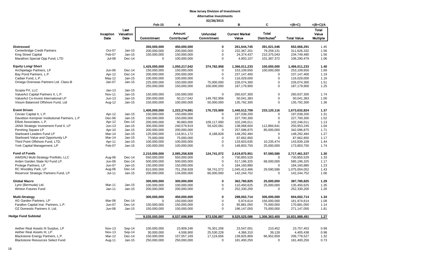|                                              |                   |                           | Feb-15        | A                                  |                               | в                              | C                                 | =(B+C)             | $=(B+C)/A$                               |
|----------------------------------------------|-------------------|---------------------------|---------------|------------------------------------|-------------------------------|--------------------------------|-----------------------------------|--------------------|------------------------------------------|
|                                              | Inception<br>Date | Last<br>Valuation<br>Date | Commitment    | Amount<br>Contributed <sup>1</sup> | <b>Unfunded</b><br>Commitment | <b>Current Market</b><br>Value | Total<br>Distributed <sup>2</sup> | <b>Total Value</b> | <b>Total</b><br>Value<br><b>Multiple</b> |
| <b>Distressed</b>                            |                   |                           | 350,000,000   | 450,000,000                        | $\mathbf 0$                   | 261,644,745                    | 391,021,546                       | 652,666,291        | 1.45                                     |
| Centerbridge Credit Partners                 | Oct-07            | Jan-15                    | 200,000,000   | 200,000,000                        | $\pmb{0}$                     | 232,367,201                    | 79,259,131                        | 311,626,332        | 1.56                                     |
| King Street Capital                          | Feb-07            | Jan-15                    | 150,000,000   | 150,000,000                        | 0                             | 24,374,437                     | 210,375,043                       | 234,749,480        | 1.56                                     |
| Marathon Special Opp Fund, LTD               | $Jul-08$          | Dec-14                    | $\mathbf 0$   | 100,000,000                        | $\Omega$                      | 4,903,107                      | 101,387,372                       | 106,290,479        | 1.06                                     |
| <b>Equity Long/ Short</b>                    |                   |                           | 1,425,000,000 | 1,050,217,042                      | 374,782,958                   | 1,366,011,233                  | 100,000,000                       | 1,466,011,233      | 1.40                                     |
| Archipelago Partners, LP                     | Jun-06            | Dec-14                    | 150,000,000   | 150,000,000                        | $\Omega$                      | 153,109,650                    | 100,000,000                       | 253,109,650        | 1.69                                     |
| Bay Pond Partners, L.P.                      | Apr-12            | Dec-14                    | 200,000,000   | 200,000,000                        | $\mathbf 0$                   | 237, 147, 400                  | 0                                 | 237,147,400        | 1.19                                     |
| Cadian Fund, L.P.                            | $May-12$          | Jan-15                    | 100,000,000   | 100,000,000                        | $\mathbf 0$                   | 116,029,000                    | $\mathbf 0$                       | 116,029,000        | 1.16                                     |
| Omega Overseas Partners Ltd. Class-B         | Jan-07            | Jan-15                    | 225,000,000   | 150,000,000                        | 75,000,000                    | 226,074,300                    | $\mathbf 0$                       | 226,074,300        | 1.51                                     |
|                                              |                   |                           | 250,000,000   | 150,000,000                        | 100,000,000                   | 187,179,900                    | $\mathbf 0$                       | 187,179,900        | 1.25                                     |
| Scopia PX, LLC                               | $Jan-13$          | Jan-15                    |               |                                    |                               |                                |                                   |                    |                                          |
| ValueAct Capital Partners II, L.P.           | <b>Nov-11</b>     | Jan-15                    | 150,000,000   | 150,000,000                        | $\mathbf 0$                   | 260,637,300                    | $\mathbf 0$                       | 260,637,300        | 1.74                                     |
| ValueAct Co-Invest International LP          | $Jun-13$          | Jan-15                    | 200,000,000   | 50,217,042                         | 149,782,958                   | 50,041,383                     | $\mathbf 0$                       | 50,041,383         | 1.00                                     |
| Visium Balanced Offshore Fund, Ltd           | Aug-12            | Jan-15                    | 150,000,000   | 100,000,000                        | 50,000,000                    | 135,792,300                    | $\mathbf 0$                       | 135,792,300        | 1.36                                     |
| <b>Event Driven</b>                          |                   |                           | 1,400,000,000 | 1,223,274,091                      | 176,725,909                   | 1,440,512,709                  | 233,120,116                       | 1,673,632,824      | 1.37                                     |
| Cevian Capital II, L.P.                      | Apr-12            | Jan-15                    | 150,000,000   | 150,000,000                        | $\mathbf 0$                   | 197,038,200                    | $\mathbf 0$                       | 197,038,200        | 1.31                                     |
| Davidson Kempner Institutional Partners, L.P | Dec-06            | Jan-15                    | 150,000,000   | 150,000,000                        | $\Omega$                      | 227,700,300                    | $\mathbf 0$                       | 227,700,300        | 1.52                                     |
| Elliott Associates, L.P.                     | Apr-12            | Dec-14                    | 200,000,000   | 90,883,000                         | 109,117,000                   | 102,246,011                    | $\mathbf 0$                       | 102,246,011        | 1.13                                     |
| JANA Strategic Investment Fund II, LP        | $Jun-13$          | Jan-15                    | 300,000,000   | 240,579,919                        | 59,420,081                    | 138,068,604                    | 112,884,641                       | 250,953,245        | 1.04                                     |
| Pershing Square LP                           | Apr-10            | Jan-15                    | 200,000,000   | 200,000,000                        | $\mathbf 0$                   | 257,096,875                    | 85,000,000                        | 342,096,875        | 1.71                                     |
| Starboard Leaders Fund LP                    | Mar-14            | Jan-15                    | 125,000,000   | 116,811,172                        | 8,188,828                     | 148,292,484                    | $\mathbf 0$                       | 148,292,484        | 1.27                                     |
| Starboard Value and Opportunity LP           | Mar-14            | $Jan-15$                  | 75,000,000    | 75,000,000                         | $\mathbf 0$                   | 87,662,850                     | $\mathbf 0$                       | 87,662,850         | 1.17                                     |
| Third Point Offshore Fund, LTD.              | Apr-11            | Jan-15                    | 100,000,000   | 100,000,000                        | $\pmb{0}$                     | 133,603,635                    | 10,235,474                        | 143,839,109        | 1.44                                     |
| York Capital Management, LP                  | Feb-07            | Jan-15                    | 100,000,000   | 100,000,000                        | $\mathbf 0$                   | 148,803,750                    | 25,000,000                        | 173,803,750        | 1.74                                     |
| <b>Fund of Funds</b>                         |                   |                           | 2,210,000,000 | 2,085,258,928                      | 124,741,072                   | 2,619,870,951                  | 97,590,586                        | 2,717,461,537      | 1.30                                     |
| AIMS/NJ Multi-Strategy Portfolio, LLC        | Aug-06            | Dec-14                    | 550,000,000   | 550,000,000                        | $\mathbf 0$                   | 730,855,529                    | $\mathbf 0$                       | 730,855,529        | 1.33                                     |
| Arden Garden State NJ Fund LP.               | <b>Jun-06</b>     | Dec-14                    | 500,000,000   | 500,000,000                        | 0                             | 517,196,325                    | 68,000,000                        | 585,196,325        | 1.17                                     |
| Protege Partners, LP                         | Jun-07            | $Jan-15$                  | 150,000,000   | 150,000,000                        | $\Omega$                      | 184,160,880                    | $\Omega$                          | 184,160,880        | 1.23                                     |
| RC Woodley Park, LP                          | Aug-06            | Dec-14                    | 810,000,000   | 751,258,928                        | 58,741,072                    | 1,045,413,466                  | 29,590,586                        | 1,075,004,052      | 1.43                                     |
| Reservoir Strategic Partners Fund, LP        | $Jul-11$          | Jan-15                    | 200,000,000   | 134,000,000                        | 66,000,000                    | 142,244,752                    | $\mathbf 0$                       | 142,244,752        | 1.06                                     |
| <b>Global Macro</b>                          |                   |                           | 300,000,000   | 300,000,000                        | 0                             | 362,780,825                    | 25,000,000                        | 387,780,825        | 1.29                                     |
| Lynx (Bermuda) Ltd.                          | Mar-11            | Jan-15                    | 100,000,000   | 100,000,000                        | 0                             | 110,450,625                    | 25,000,000                        | 135,450,625        | 1.35                                     |
| <b>Winton Futures Fund</b>                   | $Jan-11$          | Jan-15                    | 200,000,000   | 200,000,000                        | 0                             | 252,330,200                    | $\mathbf 0$                       | 252,330,200        | 1.26                                     |
| <b>Multi-Strategy</b>                        |                   |                           | 300,000,000   | 450.000.000                        | $\mathbf 0$                   | 298.002.714                    | 306.000.000                       | 604.002.714        | 1.34                                     |
| AG Garden Partners, LP                       | Mar-06            | Dec-14                    | $\mathbf 0$   | 150,000,000                        | $\pmb{0}$                     | 5,974,614                      | 156,000,000                       | 161,974,614        | 1.08                                     |
| Farallon Capital Inst. Partners, L.P.        | Jun-07            | Dec-14                    | 150,000,000   | 150,000,000                        | $\mathbf 0$                   | 95,881,050                     | 75,000,000                        | 170,881,050        | 1.14                                     |
| OZ Domestic Partners II, Ltd.                | Jun-06            | Jan-15                    | 150,000,000   | 150,000,000                        | $\mathbf 0$                   | 196,147,050                    | 75,000,000                        | 271,147,050        | 1.81                                     |
| <b>Hedge Fund Subtotal</b>                   |                   |                           | 9,035,000,000 | 8,537,698,898                      | 873,536,887                   | 9,525,525,086                  | 1,306,363,405                     | 10,831,888,491     | 1.27                                     |
|                                              |                   |                           |               |                                    |                               |                                |                                   |                    |                                          |
| Aether Real Assets III Surplus, LP           | $Nov-13$          | Sep-14                    | 100,000,000   | 23,909,246                         | 76,301,206                    | 23,547,001                     | 210,452                           | 23,757,453         | 0.99                                     |
| Aether Real Assets III, LP                   | <b>Nov-13</b>     | Sep-14                    | 30,000,000    | 4,508,900                          | 25,530,228                    | 4,366,310                      | 39,128                            | 4,405,438          | 0.98                                     |
| Blackstone Energy Partners, L.P.             | Mar-12            | Dec-14                    | 150,000,000   | 157,057,169                        | 17,124,656                    | 139,825,869                    | 66,952,659                        | 206,778,527        | 1.32                                     |
| <b>Blackstone Resources Select Fund</b>      | Aug-11            | Jan-15                    | 250,000,000   | 250,000,000                        | $\mathbf 0$                   | 181,400,250                    | $\mathbf{0}$                      | 181,400,250        | 0.73                                     |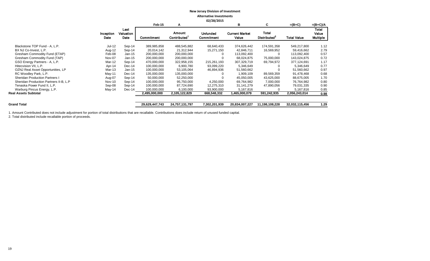|                                        |                   |                           |                |                       | <b>UZ/ZO/ZUIS</b>             |                                |                                          |                    |                                   |
|----------------------------------------|-------------------|---------------------------|----------------|-----------------------|-------------------------------|--------------------------------|------------------------------------------|--------------------|-----------------------------------|
|                                        |                   |                           | Feb-15         | A                     |                               | в                              | C                                        | $=(B+C)$           | $=(B+C)/A$                        |
|                                        | Inception<br>Date | Last<br>Valuation<br>Date | Commitment     | Amount<br>Contributed | <b>Unfunded</b><br>Commitment | <b>Current Market</b><br>Value | <b>Total</b><br>Distributed <sup>2</sup> | <b>Total Value</b> | Total<br>Value<br><b>Multiple</b> |
| Blackstone TOP Fund - A, L.P.          | Jul-12            | Sep-14                    | 389,985,858    | 488,545,882           | 68,640,433                    | 374,626,442                    | 174,591,358                              | 549,217,800        | 1.12                              |
| BX NJ Co-Invest, L.P.                  | Aug-12            | Sep-14                    | 20,014,142     | 21,312,944            | 15,271,150                    | 42,846,711                     | 16,569,952                               | 59,416,662         | 2.79                              |
| Gresham Commodity Fund (ETAP)          | Feb-08            | $Jan-15$                  | 200,000,000    | 200,000,000           |                               | 113,092,400                    | 0                                        | 113,092,400        | 0.57                              |
| Gresham Commodity Fund (TAP)           | Nov-07            | $Jan-15$                  | 200,000,000    | 200,000,000           |                               | 68,024,875                     | 75,000,000                               | 143,024,875        | 0.72                              |
| GSO Energy Partners - A, L.P.          | Mar-12            | Sep-14                    | 470,000,000    | 322,958,155           | 215,261,193                   | 307,329,719                    | 69,794,972                               | 377,124,691        | 1.17                              |
| Hitecvision VII, L.P.                  | Apr-14            | Dec-14                    | 100,000,000    | 6,900,780             | 93,099,220                    | 5,346,649                      |                                          | 5,346,649          | 0.77                              |
| OZNJ Real Asset Opportunities, LP      | Mar-13            | Jan-15                    | 100,000,000    | 53,105,064            | 46,894,936                    | 51,560,662                     |                                          | 51,560,662         | 0.97                              |
| RC Woodley Park, L.P.                  | $May-11$          | $Dec-14$                  | 135,000,000    | 135,000,000           |                               | 1,909,109                      | 89,569,359                               | 91,478,468         | 0.68                              |
| <b>Sheridan Production Partners I</b>  | Aug-07            | Sep-14                    | 50,000,000     | 52,250,000            |                               | 45,050,005                     | 43,625,000                               | 88,675,005         | 1.70                              |
| Sheridan Production Partners II-B, L.P | <b>Nov-10</b>     | Sep-14                    | 100,000,000    | 95,750,000            | 4,250,000                     | 69,764,982                     | 7,000,000                                | 76,764,982         | 0.80                              |
| Tenaska Power Fund II, L.P.            | Sep-08            | Sep-14                    | 100,000,000    | 87,724,690            | 12,275,310                    | 31,141,279                     | 47,890,056                               | 79,031,335         | 0.90                              |
| Warburg Pincus Energy, L.P.            | May-14            | Dec-14                    | 100.000.000    | 6,100,000             | 93,900,000                    | 5,167,816                      |                                          | 5,167,816          | 0.85                              |
| <b>Real Assets Subtotal</b>            |                   |                           | 2,495,000,000  | 2,105,122,829         | 668,548,332                   | 1,465,000,079                  | 591,242,935                              | 2,056,243,014      | 0.98                              |
| <b>Grand Total</b>                     |                   |                           | 29,629,447,743 | 24,757,131,797        | 7,302,201,939                 | 20,834,007,227                 | 11,198,108,228                           | 32,032,115,456     | 1.29                              |
|                                        |                   |                           |                |                       |                               |                                |                                          |                    |                                   |

1. Amount Contributed does not include adjustment for portion of total distributions that are recallable. Contributions does include return of unused funded capital.

2. Total distributed include recallable portion of proceeds.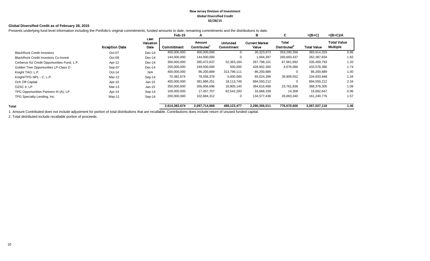#### **New Jersey Division of Investment Global Diversified Credit 02/28/15**

#### **Global Diversified Credit as of February 28, 2015**

Presents underlying fund level information including the Portfolio's original commitments, funded amounts to date, remaining commitments and the distributions to date.

|                                             |                       |                           | Feb-15        | A                     |                                      | в                              | C                                        | $=(B+C)$           | $=(B+C)/A$                            |
|---------------------------------------------|-----------------------|---------------------------|---------------|-----------------------|--------------------------------------|--------------------------------|------------------------------------------|--------------------|---------------------------------------|
|                                             | <b>Inception Date</b> | Last<br>Valuation<br>Date | Commitment    | Amount<br>Contributed | <b>Unfunded</b><br><b>Commitment</b> | <b>Current Market</b><br>Value | <b>Total</b><br>Distributed <sup>2</sup> | <b>Total Value</b> | <b>Total Value</b><br><b>Multiple</b> |
| <b>BlackRock Credit Investors</b>           | Oct-07                | Dec-14                    | 400,000,000   | 400,000,000           | 0                                    | 30,323,973                     | 353,290,356                              | 383,614,329        | 0.96                                  |
| <b>BlackRock Credit Investors Co-Invest</b> | Oct-09                | Dec-14                    | 144,000,000   | 144,000,000           | 0                                    | 1,694,397                      | 260,693,437                              | 262,387,834        | 1.82                                  |
| Cerberus NJ Credit Opportunities Fund, L.P. | Apr-12                | Dec-14                    | 300,000,000   | 280,472,637           | 52,363,184                           | 267,798,101                    | 67,661,692                               | 335,459,793        | 1.20                                  |
| Golden Tree Opportunities LP-Class D        | Sep-07                | Dec-14                    | 250,000,000   | 249,500,000           | 500,000                              | 428,902,300                    | 4,676,086                                | 433,578,386        | 1.74                                  |
| Knight TAO, L.P.                            | $Oct-14$              | N/A                       | 400,000,000   | 86,200,889            | 313,799,111                          | 86,200,889                     | 0                                        | 86,200,889         | 1.00                                  |
| Knight/TPG NPL - C, L.P.                    | Mar-12                | Sep-14                    | 70,382,674    | 78,556,376            | 5,000,000                            | 65,024,396                     | 39,909,552                               | 104,933,948        | 1.34                                  |
| Och Ziff Capital                            | Apr-10                | $Jan-15$                  | 400,000,000   | 381,886,251           | 18,113,749                           | 894,550,212                    | $\mathbf 0$                              | 894,550,212        | 2.34                                  |
| OZSC II, LP                                 | Mar-13                | $Jan-15$                  | 350,000,000   | 356,956,696           | 16,805,140                           | 364,616,468                    | 23,761,836                               | 388,378,305        | 1.09                                  |
| TPG Opportunities Partners III (A), LP      | Apr-14                | Sep-14                    | 100,000,000   | 17,457,707            | 82,542,293                           | 16,668,339                     | 14,308                                   | 16,682,647         | 0.96                                  |
| TPG Specialty Lending, Inc.                 | May-11                | Sep-14                    | 200,000,000   | 102,684,312           | 0                                    | 134,577,436                    | 26,663,340                               | 161,240,776        | 1.57                                  |
| Total                                       |                       |                           | 2,614,382,674 | 2,097,714,868         | 489,123,477                          | 2,290,356,511                  | 776,670,606                              | 3,067,027,118      | 1.46                                  |

1. Amount Contributed does not include adjustment for portion of total distributions that are recallable. Contributions does include return of unused funded capital.

2. Total distributed include recallable portion of proceeds.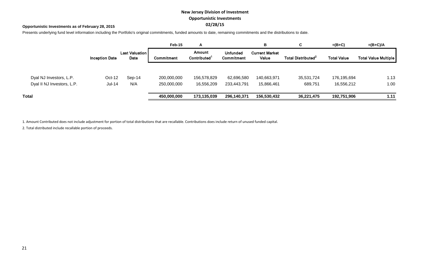# **New Jersey Division of Investment Opportunistic Investments 02/28/15**

#### **Opportunistic Investments as of February 28, 2015**

Presents underlying fund level information including the Portfolio's original commitments, funded amounts to date, remaining commitments and the distributions to date.

|                            |                       |                               | Feb-15      | A                                  |                               | В                              | C                              | $=(B+C)$           | $=(B+C)/A$           |
|----------------------------|-----------------------|-------------------------------|-------------|------------------------------------|-------------------------------|--------------------------------|--------------------------------|--------------------|----------------------|
|                            | <b>Inception Date</b> | <b>Last Valuation</b><br>Date | Commitment  | Amount<br>Contributed <sup>1</sup> | <b>Unfunded</b><br>Commitment | <b>Current Market</b><br>Value | Total Distributed <sup>2</sup> | <b>Total Value</b> | Total Value Multiple |
|                            |                       |                               |             |                                    |                               |                                |                                |                    |                      |
| Dyal NJ Investors, L.P.    | $Oct-12$              | $Sep-14$                      | 200,000,000 | 156,578,829                        | 62,696,580                    | 140,663,971                    | 35,531,724                     | 176,195,694        | 1.13                 |
| Dyal II NJ Investors, L.P. | $Jul-14$              | N/A                           | 250,000,000 | 16,556,209                         | 233,443,791                   | 15,866,461                     | 689,751                        | 16,556,212         | 1.00                 |
| Total                      |                       |                               | 450,000,000 | 173,135,039                        | 296,140,371                   | 156,530,432                    | 36,221,475                     | 192,751,906        | 1.11                 |

1. Amount Contributed does not include adjustment for portion of total distributions that are recallable. Contributions does include return of unused funded capital.

2. Total distributed include recallable portion of proceeds.